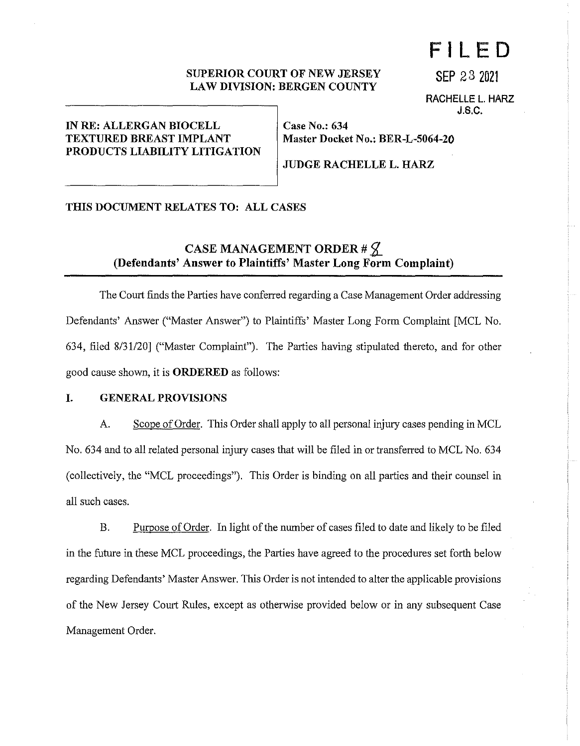# **FILED**

## **SUPERIOR COURT OF NEW JERSEY LAW DIVISION: BERGEN COUNTY**

**SEP 23 2021 RACHELLE L. HARZ J.S.C.** 

## **IN RE: ALLERGAN BIOCELL TEXTURED BREAST IMPLANT PRODUCTS LIABILITY LITIGATION**

**Case No.: 634 Master Docket No.: BER-L-5064-20** 

### **JUDGE RACHELLE L. HARZ**

## **THIS DOCUMENT RELATES TO: ALL CASES**

## **CASE MANAGEMENT ORDER #**  $\cancel{2}$ **(Defendants' Answer to Plaintiffs' Master Long Form Complaint)**

The Court finds the Parties have conferred regarding a Case Management Order addressing Defendants' Answer ("Master Answer") to Plaintiffs' Master Long Form Complaint [MCL No. 634, filed 8/31/20] ("Master Complaint"). The Parties having stipulated thereto, and for other good cause shown, it is **ORDERED** as follows:

#### **I. GENERAL PROVISIONS**

A. Scope of Order. This Order shall apply to all personal injury cases pending in MCL No. 634 and to all related personal injury cases that will be filed in or transferred to MCL No. 634 (collectively, the "MCL proceedings"). This Order is binding on all parties and their counsel in all such cases.

B. Purpose of Order. In light of the number of cases filed to date and likely to be filed in the future in these MCL proceedings, the Parties have agreed to the procedures set forth below regarding Defendants' Master Answer. This Order is not intended to alter the applicable provisions of the New Jersey Court Rules, except as otherwise provided below or in any subsequent Case Management Order.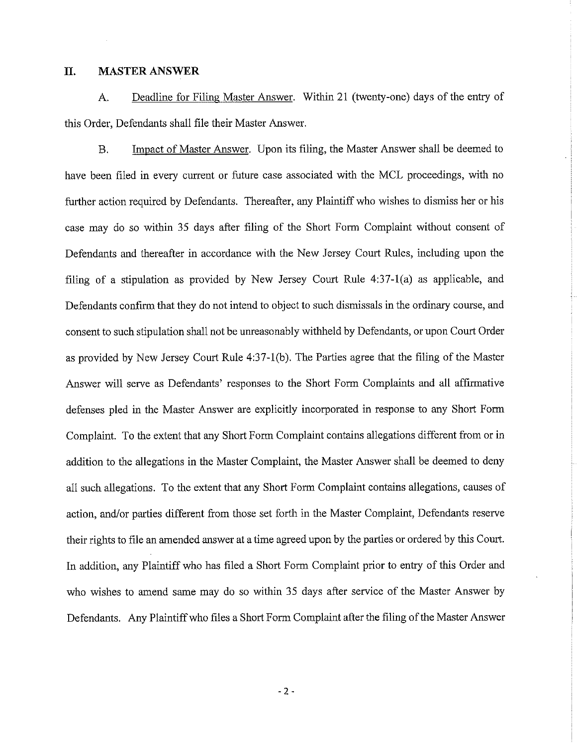#### **11. MASTER ANSWER**

A. Deadline for Filing Master Answer. Within 21 (twenty-one) days of the entry of this Order, Defendants shall file their Master Answer.

B. Impact of Master Answer. Upon its filing, the Master Answer shall be deemed to have been filed in every current or future case associated with the MCL proceedings, with no further action required by Defendants. Thereafter, any Plaintiff who wishes to dismiss her or his case may do so within 35 days after filing of the Short Form Complaint without consent of Defendants and thereafter in accordance with the New Jersey Court Rules, including upon the filing of a stipulation as provided by New Jersey Court Rule 4:37-l(a) as applicable, and Defendants confirm that they do not intend to object to such dismissals in the ordinary course, and consent to such stipulation shall not be umeasonably withheld by Defendants, or upon Court Order as provided by New Jersey Court Rule 4:37-l(b). The Parties agree that the filing of the Master Answer will serve as Defendants' responses to the Short Form Complaints and all affirmative defenses pied in the Master Answer are explicitly incorporated in response to any Short Form Complaint. To the extent that any Short Form Complaint contains allegations different from or in addition to the allegations in the Master Complaint, the Master Answer shall be deemed to deny all such allegations. To the extent that any Short Form Complaint contains allegations, causes of action, and/or parties different from those set forth in the Master Complaint, Defendants reserve their rights to file an amended answer at a time agreed upon by the parties or ordered by this Court. In addition, any Plaintiff who has filed a Short Form Complaint prior to entry of this Order and who wishes to amend same may do so within 35 days after service of the Master Answer by Defendants. Any Plaintiff who files a Short Form Complaint after the filing of the Master Answer